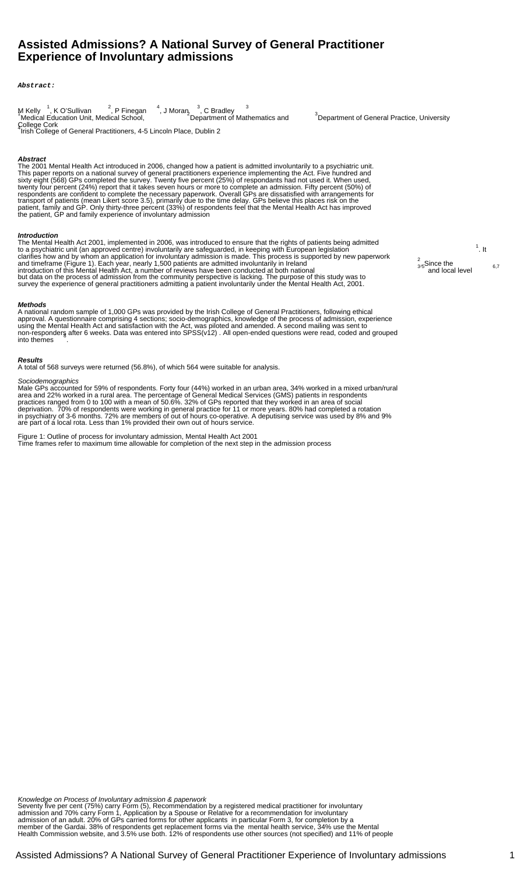# **Assisted Admissions? A National Survey of General Practitioner Experience of Involuntary admissions**

**Abstract:**

| M Kelly $\frac{1}{2}$ , K O'Sullivan $\frac{2}{2}$ , P Finegan<br>'Medical Education Unit, Medical School, | $\frac{4}{1}$ , J Moran, $\frac{3}{1}$ , C Bradley<br><sup>2</sup> Department of Mathematics and |  |
|------------------------------------------------------------------------------------------------------------|--------------------------------------------------------------------------------------------------|--|
| College Cork                                                                                               |                                                                                                  |  |

College Cork <sup>4</sup> Irish College of General Practitioners, 4-5 Lincoln Place, Dublin 2

# **Abstract**

The 2001 Mental Health Act introduced in 2006, changed how a patient is admitted involuntarily to a psychiatric unit. This paper reports on a national survey of general practitionersâ experience implementing the Act. Five hundred and sixty eight (568) GPs completed the survey. Twenty five percent (25%) of respondants had not used it. When used, twenty four percent (24%) report that it takes seven hours or more to complete an admission. Fifty percent (50%) of respondents are confident to complete the necessary paperwork. Overall GPs are dissatisfied with arrangements for transport of patients (mean Likert score 3.5), primarily due to the time delay. GPs believe this places risk on the patient, family and GP. Only thirty-three percent (33%) of respondents feel that the Mental Health Act has improved the patient, GP and family experience of involuntary admission

#### **Introduction**

The Mental Health Act 2001, implemented in 2006, was introduced to ensure that the rights of patients being admitted<br>to a psychiatric unit (an approved centre) involuntarily are safeguarded, in keeping with European legisl clarifies how and by whom an application for involuntary admission is made. This process is supported by new paperwork<br>and timeframe (Figure 1). Each year, nearly 1,500 patients are admitted involuntarily in Ireland <sup>6,7</sup> introduction of this Mental Health Act, a number of reviews have been conducted at both national 3-5 and local level 6,7<br>Sand local level 6,7 but data on the process of admission from the community perspective is lacking. The purpose of this study was to survey the experience of general practitioners admitting a patient involuntarily under the Mental Health Act, 2001.

## **Methods**

A national random sample of 1,000 GPs was provided by the Irish College of General Practitioners, following ethical approval. A questionnaire comprising 4 sections; socio-demographics, knowledge of the process of admission, experience using the Mental Health Act and satisfaction with the Act, was piloted and amended. A second mailing was sent to non-responders after 6 weeks. Data was entered into SPSS(v12) . All open-ended questions were read, coded and grouped into themes .

# **Results**

A total of 568 surveys were returned (56.8%), of which 564 were suitable for analysis.

#### **Sociodemographics**

Male GPs accounted for 59% of respondents. Forty four (44%) worked in an urban area, 34% worked in a mixed urban/rural area and 22% worked in a rural area. The percentage of General Medical Services (GMS) patients in respondents practices ranged from 0 to 100 with a mean of 50.6%. 32% of GPs reported that they worked in an area of social deprivation. 70% of respondents were working in general practice for 11 or more years. 80% had completed a rotation in psychiatry of 3-6 months. 72% are members of out of hours co-operative. A deputising service was used by 8% and 9% are part of a local rota. Less than 1% provided their own out of hours service.

Figure 1: Outline of process for involuntary admission, Mental Health Act 2001 â Time frames refer to maximum time allowable for completion of the next step in the admission process

<sup>3</sup>Department of General Practice, University

 $<sup>1</sup>$ . It</sup>

 $3.5^2$ . Since the and local level

Knowledge on Process of Involuntary admission & paperwork

Seventy five per cent (75%) carry Form (5), â Recommendation by a registered medical practitioner for involuntary admissionâ and 70% carry Form 1, â Application by a Spouse or Relative for a recommendation for involuntary admission of an adultâ. 20% of GPs carried forms for other applicants â in particular Form 3, for completion by a member of the Gardai. 38% of respondents get replacement forms via the mental health service, 34% use the Mental Health Commission website, and 3.5% use both. 12% of respondents use other sources (not specified) and 11% of people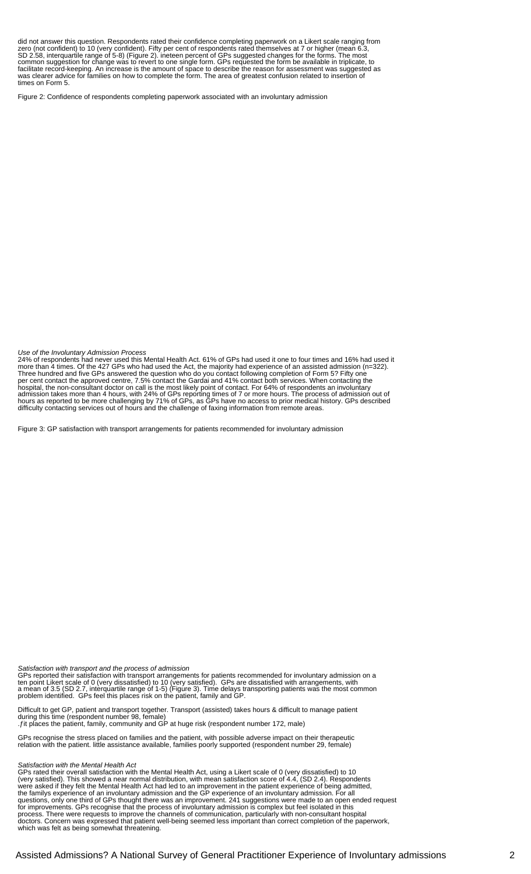did not answer this question. Respondents rated their confidence completing paperwork on a Likert scale ranging from zero (not confident) to 10 (very confident). Fifty per cent of respondents rated themselves at 7 or higher (mean 6.3, SD 2.58, interquartile range of 5-8) (Figure 2). ineteen percent of GPs suggested changes for the forms. The most common suggestion for change was to revert to one single form. GPs requested the form be available in triplicate, to facilitate record-keeping. An increase is the amount of space to describe the reason for assessment was suggested as was clearer advice for families on how to complete the form. The area of greatest confusion related to insertion of times on Form 5.

Figure 2: Confidence of respondents completing paperwork associated with an involuntary admission

Use of the Involuntary Admission Process

24% of respondents had never used this Mental Health Act. 61% of GPs had used it one to four times and 16% had used it more than 4 times. Of the 427 GPs who had used the Act, the majority had experience of an assisted admission (n=322). Three hundred and five GPs answered the question â who do you contact following completion of Form 5?â Fifty one per cent contact the approved centre, 7.5% contact the Gardai and 41% contact both services. When contacting the hospital, the non-consultant doctor on call is the most likely point of contact. For 64% of respondents an involuntary admission takes more than 4 hours, with 24% of GPs reporting times of 7 or more hours. The process of admission out of hours as reported to be more challenging by 71% of GPs, as GPs have no access to prior medical history. GPs described difficulty contacting services out of hours and the challenge of faxing information from remote areas.

Figure 3: GP satisfaction with transport arrangements for patients recommended for involuntary admission

Satisfaction with transport and the process of admission

GPs reported their satisfaction with transport arrangements for patients recommended for involuntary admission on a ten point Likert scale of 0 (very dissatisfied) to 10 (very satisfied). GPs are dissatisfied with arrangements, with a mean of 3.5 (SD 2.7, interquartile range of 1-5) (Figure 3). Time delays transporting patients was the most common problem identified. GPs feel this places risk on the patient, family and GP.

âDifficult to get GP, patient and transport together. Transport (assisted) takes hours & difficult to manage patient during this timeâ (respondent number 98, female) â.âƒit places the patient, family, community and GP at huge riskâ (respondent number 172, male)

GPs recognise the stress placed on families and the patient, with possible adverse impact on their therapeutic relation with the patient. âlittle assistance available, families poorly supportedâ (respondent number 29, female)

Satisfaction with the Mental Health Act

GPs rated their overall satisfaction with the Mental Health Act, using a Likert scale of 0 (very dissatisfied) to 10 (very satisfied). This showed a near normal distribution, with mean satisfaction score of 4.4, (SD 2.4). Respondents were asked if they felt the Mental Health Act had led to an improvement in the patient experience of being admitted, the familyâ s experience of an involuntary admission and the GP experience of an involuntary admission. For all questions, only one third of GPs thought there was an improvement. 241 suggestions were made to an open ended request for improvements. GPs recognise that the process of involuntary admission is complex but feel isolated in this process. There were requests to improve the channels of communication, particularly with non-consultant hospital doctors. Concern was expressed that patient well-being seemed less important than correct completion of the paperwork, which was felt as being somewhat threatening.